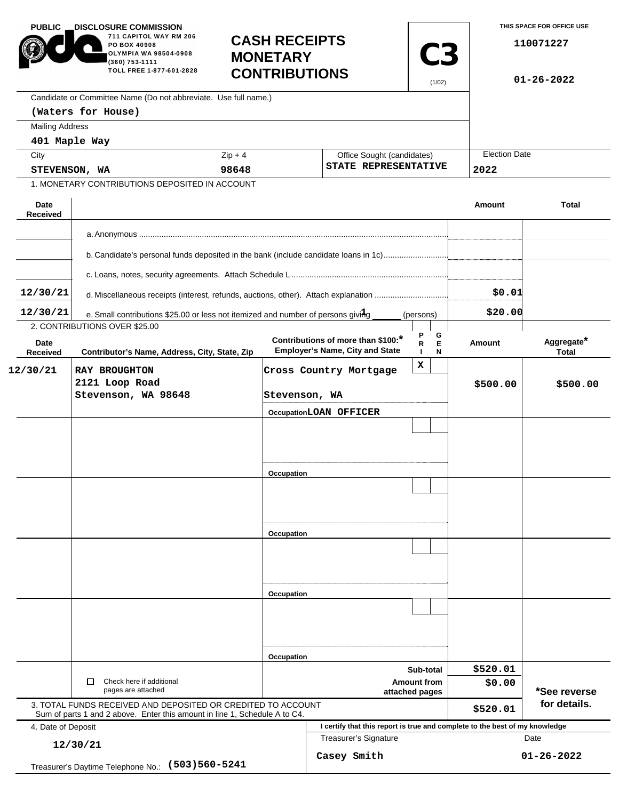| <b>PUBLIC</b>           | <b>_DISCLOSURE COMMISSION</b><br>711 CAPITOL WAY RM 206<br><b>CASH RECEIPTS</b><br>PO BOX 40908<br>OLYMPIA WA 98504-0908<br><b>MONETARY</b><br>(360) 753-1111<br>TOLL FREE 1-877-601-2828<br><b>CONTRIBUTIONS</b> |               |                                                                              | <b>C3</b><br>(1/02)                                | THIS SPACE FOR OFFICE USE<br>110071227<br>$01 - 26 - 2022$ |                              |
|-------------------------|-------------------------------------------------------------------------------------------------------------------------------------------------------------------------------------------------------------------|---------------|------------------------------------------------------------------------------|----------------------------------------------------|------------------------------------------------------------|------------------------------|
|                         | Candidate or Committee Name (Do not abbreviate. Use full name.)                                                                                                                                                   |               |                                                                              |                                                    |                                                            |                              |
|                         | (Waters for House)                                                                                                                                                                                                |               |                                                                              |                                                    |                                                            |                              |
| <b>Mailing Address</b>  |                                                                                                                                                                                                                   |               |                                                                              |                                                    |                                                            |                              |
| 401 Maple Way           |                                                                                                                                                                                                                   |               |                                                                              |                                                    | <b>Election Date</b>                                       |                              |
| City                    |                                                                                                                                                                                                                   | $Zip + 4$     |                                                                              | Office Sought (candidates)<br>STATE REPRESENTATIVE |                                                            |                              |
| STEVENSON, WA           | 1. MONETARY CONTRIBUTIONS DEPOSITED IN ACCOUNT                                                                                                                                                                    | 98648         |                                                                              |                                                    | 2022                                                       |                              |
|                         |                                                                                                                                                                                                                   |               |                                                                              |                                                    |                                                            |                              |
| Date<br><b>Received</b> |                                                                                                                                                                                                                   |               |                                                                              |                                                    | Amount                                                     | <b>Total</b>                 |
|                         |                                                                                                                                                                                                                   |               |                                                                              |                                                    |                                                            |                              |
|                         | b. Candidate's personal funds deposited in the bank (include candidate loans in 1c)                                                                                                                               |               |                                                                              |                                                    |                                                            |                              |
|                         |                                                                                                                                                                                                                   |               |                                                                              |                                                    |                                                            |                              |
| 12/30/21                | d. Miscellaneous receipts (interest, refunds, auctions, other). Attach explanation                                                                                                                                |               |                                                                              |                                                    |                                                            |                              |
| 12/30/21                | e. Small contributions \$25.00 or less not itemized and number of persons giving<br>(persons)                                                                                                                     |               |                                                                              |                                                    |                                                            |                              |
|                         | 2. CONTRIBUTIONS OVER \$25.00                                                                                                                                                                                     |               |                                                                              |                                                    |                                                            |                              |
| Date<br>Received        | Contributor's Name, Address, City, State, Zip                                                                                                                                                                     |               | Contributions of more than \$100:*<br><b>Employer's Name, City and State</b> | P<br>G<br>$\mathsf E$<br>R<br>N                    | Amount                                                     | Aggregate*<br><b>Total</b>   |
| 12/30/21                | <b>RAY BROUGHTON</b>                                                                                                                                                                                              |               | Cross Country Mortgage                                                       | X                                                  |                                                            |                              |
|                         | 2121 Loop Road<br>Stevenson, WA 98648                                                                                                                                                                             | Stevenson, WA |                                                                              |                                                    | \$500.00                                                   | \$500.00                     |
|                         |                                                                                                                                                                                                                   |               | OccupationLOAN OFFICER                                                       |                                                    |                                                            |                              |
|                         |                                                                                                                                                                                                                   |               |                                                                              |                                                    |                                                            |                              |
|                         |                                                                                                                                                                                                                   |               |                                                                              |                                                    |                                                            |                              |
|                         |                                                                                                                                                                                                                   |               |                                                                              |                                                    |                                                            |                              |
|                         |                                                                                                                                                                                                                   | Occupation    |                                                                              |                                                    |                                                            |                              |
|                         |                                                                                                                                                                                                                   |               |                                                                              |                                                    |                                                            |                              |
|                         |                                                                                                                                                                                                                   |               |                                                                              |                                                    |                                                            |                              |
|                         |                                                                                                                                                                                                                   |               |                                                                              |                                                    |                                                            |                              |
|                         |                                                                                                                                                                                                                   | Occupation    |                                                                              |                                                    |                                                            |                              |
|                         |                                                                                                                                                                                                                   |               |                                                                              |                                                    |                                                            |                              |
|                         |                                                                                                                                                                                                                   |               |                                                                              |                                                    |                                                            |                              |
|                         |                                                                                                                                                                                                                   |               |                                                                              |                                                    |                                                            |                              |
|                         |                                                                                                                                                                                                                   | Occupation    |                                                                              |                                                    |                                                            |                              |
|                         |                                                                                                                                                                                                                   |               |                                                                              |                                                    |                                                            |                              |
|                         |                                                                                                                                                                                                                   |               |                                                                              |                                                    |                                                            |                              |
|                         |                                                                                                                                                                                                                   |               |                                                                              |                                                    |                                                            |                              |
|                         |                                                                                                                                                                                                                   |               | Occupation<br>Sub-total                                                      |                                                    | \$520.01                                                   |                              |
|                         | Check here if additional<br>П                                                                                                                                                                                     |               | <b>Amount from</b>                                                           |                                                    | \$0.00                                                     |                              |
|                         | pages are attached                                                                                                                                                                                                |               | attached pages                                                               |                                                    |                                                            | *See reverse<br>for details. |
|                         | 3. TOTAL FUNDS RECEIVED AND DEPOSITED OR CREDITED TO ACCOUNT<br>Sum of parts 1 and 2 above. Enter this amount in line 1, Schedule A to C4.                                                                        |               |                                                                              |                                                    | \$520.01                                                   |                              |
| 4. Date of Deposit      |                                                                                                                                                                                                                   |               | I certify that this report is true and complete to the best of my knowledge  |                                                    |                                                            |                              |
|                         | 12/30/21                                                                                                                                                                                                          |               | <b>Treasurer's Signature</b><br>Date                                         |                                                    |                                                            |                              |
|                         | $(503)560 - 5241$<br>Treasurer's Daytime Telephone No.:                                                                                                                                                           |               | Casey Smith                                                                  |                                                    |                                                            | $01 - 26 - 2022$             |